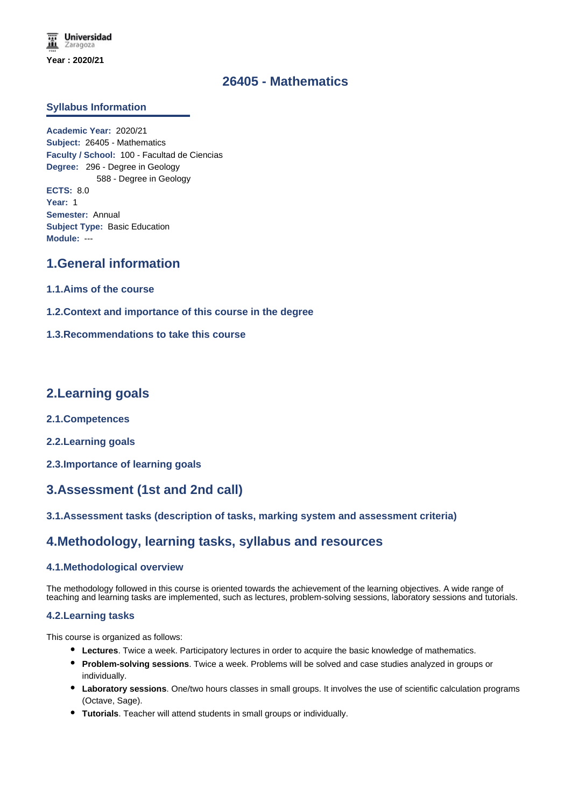### **26405 - Mathematics**

### **Syllabus Information**

**Academic Year:** 2020/21 **Subject:** 26405 - Mathematics **Faculty / School:** 100 - Facultad de Ciencias **Degree:** 296 - Degree in Geology 588 - Degree in Geology **ECTS:** 8.0 **Year:** 1 **Semester:** Annual **Subject Type:** Basic Education **Module:** ---

## **1.General information**

- **1.1.Aims of the course**
- **1.2.Context and importance of this course in the degree**
- **1.3.Recommendations to take this course**

### **2.Learning goals**

- **2.1.Competences**
- **2.2.Learning goals**
- **2.3.Importance of learning goals**

# **3.Assessment (1st and 2nd call)**

### **3.1.Assessment tasks (description of tasks, marking system and assessment criteria)**

## **4.Methodology, learning tasks, syllabus and resources**

### **4.1.Methodological overview**

The methodology followed in this course is oriented towards the achievement of the learning objectives. A wide range of teaching and learning tasks are implemented, such as lectures, problem-solving sessions, laboratory sessions and tutorials.

### **4.2.Learning tasks**

This course is organized as follows:

- **Lectures**. Twice a week. Participatory lectures in order to acquire the basic knowledge of mathematics.
- **Problem-solving sessions**. Twice a week. Problems will be solved and case studies analyzed in groups or individually.
- **Laboratory sessions**. One/two hours classes in small groups. It involves the use of scientific calculation programs (Octave, Sage).
- **Tutorials**. Teacher will attend students in small groups or individually.